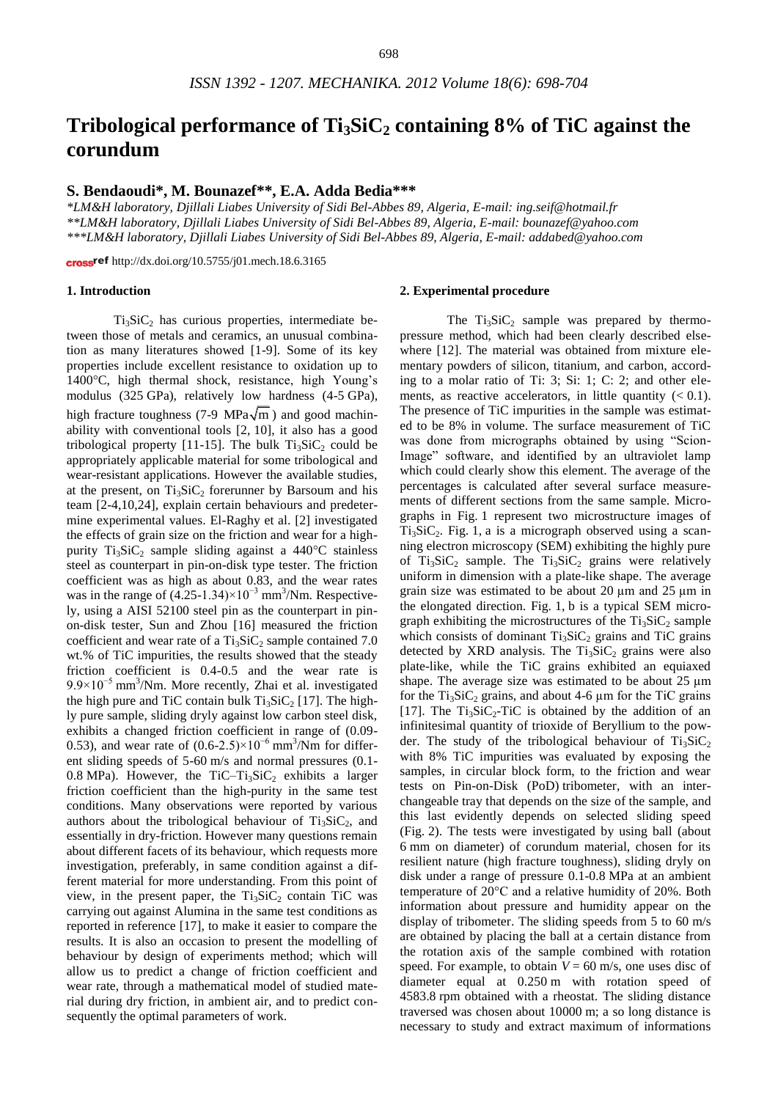# **Tribological performance of Ti3SiC<sup>2</sup> containing 8% of TiC against the corundum**

# **S. Bendaoudi\*, M. Bounazef\*\*, E.A. Adda Bedia\*\*\***

*\*LM&H laboratory, Djillali Liabes University of Sidi Bel-Abbes 89, Algeria, E-mail: [ing.seif@hotmail.fr](mailto:ing.seif@hotmail.fr) \*\*LM&H laboratory, Djillali Liabes University of Sidi Bel-Abbes 89, Algeria, E-mail: [bounazef@yahoo.com](mailto:bounazef@yahoo.com) \*\*\*LM&H laboratory, Djillali Liabes University of Sidi Bel-Abbes 89, Algeria, E-mail: addabed@yahoo.com*

cross<sup>ref</sup> <http://dx.doi.org/10.5755/j01.mech.18.6.3165>

# **1. Introduction**

 $Ti<sub>3</sub>SiC<sub>2</sub>$  has curious properties, intermediate between those of metals and ceramics, an unusual combination as many literatures showed [1-9]. Some of its key properties include excellent resistance to oxidation up to 1400°C, high thermal shock, resistance, high Young's modulus (325 GPa), relatively low hardness (4-5 GPa), high fracture toughness (7-9 MPa $\sqrt{m}$ ) and good machinability with conventional tools [2, 10], it also has a good tribological property [11-15]. The bulk  $Ti<sub>3</sub>SiC<sub>2</sub>$  could be appropriately applicable material for some tribological and wear-resistant applications. However the available studies, at the present, on  $Ti<sub>3</sub>SiC<sub>2</sub>$  forerunner by Barsoum and his team [2-4,10,24], explain certain behaviours and predetermine experimental values. El-Raghy et al. [2] investigated the effects of grain size on the friction and wear for a highpurity  $Ti<sub>3</sub>SiC<sub>2</sub>$  sample sliding against a 440°C stainless steel as counterpart in pin-on-disk type tester. The friction coefficient was as high as about 0.83, and the wear rates was in the range of  $(4.25-1.34)\times10^{-3}$  mm<sup>3</sup>/Nm. Respectively, using a AISI 52100 steel pin as the counterpart in pinon-disk tester, Sun and Zhou [16] measured the friction coefficient and wear rate of a  $Ti<sub>3</sub>SiC<sub>2</sub>$  sample contained 7.0 wt.% of TiC impurities, the results showed that the steady friction coefficient is 0.4-0.5 and the wear rate is 9.9×10<sup>-5</sup> mm<sup>3</sup>/Nm. More recently, Zhai et al. investigated the high pure and TiC contain bulk  $Ti<sub>3</sub>SiC<sub>2</sub> [17]$ . The highly pure sample, sliding dryly against low carbon steel disk, exhibits a changed friction coefficient in range of (0.09- 0.53), and wear rate of  $(0.6\n-2.5)\times10^{-6}$  mm<sup>3</sup>/Nm for different sliding speeds of 5-60 m/s and normal pressures (0.1- 0.8 MPa). However, the TiC–Ti<sub>3</sub>SiC<sub>2</sub> exhibits a larger friction coefficient than the high-purity in the same test conditions. Many observations were reported by various authors about the tribological behaviour of  $Ti<sub>3</sub>SiC<sub>2</sub>$ , and essentially in dry-friction. However many questions remain about different facets of its behaviour, which requests more investigation, preferably, in same condition against a different material for more understanding. From this point of view, in the present paper, the  $Ti<sub>3</sub>SiC<sub>2</sub>$  contain TiC was carrying out against Alumina in the same test conditions as reported in reference [17], to make it easier to compare the results. It is also an occasion to present the modelling of behaviour by design of experiments method; which will allow us to predict a change of friction coefficient and wear rate, through a mathematical model of studied material during dry friction, in ambient air, and to predict consequently the optimal parameters of work.

#### **2. Experimental procedure**

The  $Ti<sub>3</sub>SiC<sub>2</sub>$  sample was prepared by thermopressure method, which had been clearly described elsewhere [12]. The material was obtained from mixture elementary powders of silicon, titanium, and carbon, according to a molar ratio of Ti: 3; Si: 1; C: 2; and other elements, as reactive accelerators, in little quantity  $(< 0.1)$ . The presence of TiC impurities in the sample was estimated to be 8% in volume. The surface measurement of TiC was done from micrographs obtained by using "Scion-Image" software, and identified by an ultraviolet lamp which could clearly show this element. The average of the percentages is calculated after several surface measurements of different sections from the same sample. Micrographs in Fig. 1 represent two microstructure images of  $Ti<sub>3</sub>SiC<sub>2</sub>$ . Fig. 1, a is a micrograph observed using a scanning electron microscopy (SEM) exhibiting the highly pure of  $Ti<sub>3</sub>SiC<sub>2</sub>$  sample. The  $Ti<sub>3</sub>SiC<sub>2</sub>$  grains were relatively uniform in dimension with a plate-like shape. The average grain size was estimated to be about 20 µm and 25 µm in the elongated direction. Fig. 1, b is a typical SEM micrograph exhibiting the microstructures of the  $Ti<sub>3</sub>SiC<sub>2</sub>$  sample which consists of dominant  $Ti<sub>3</sub>SiC<sub>2</sub>$  grains and TiC grains detected by XRD analysis. The  $Ti<sub>3</sub>SiC<sub>2</sub>$  grains were also plate-like, while the TiC grains exhibited an equiaxed shape. The average size was estimated to be about 25  $\mu$ m for the  $Ti<sub>3</sub>SiC<sub>2</sub>$  grains, and about 4-6 µm for the TiC grains [17]. The  $Ti<sub>3</sub>SiC<sub>2</sub>-TiC$  is obtained by the addition of an infinitesimal quantity of trioxide of Beryllium to the powder. The study of the tribological behaviour of  $Ti<sub>3</sub>SiC<sub>2</sub>$ with 8% TiC impurities was evaluated by exposing the samples, in circular block form, to the friction and wear tests on Pin-on-Disk (PoD) tribometer, with an interchangeable tray that depends on the size of the sample, and this last evidently depends on selected sliding speed (Fig. 2). The tests were investigated by using ball (about 6 mm on diameter) of corundum material, chosen for its resilient nature (high fracture toughness), sliding dryly on disk under a range of pressure 0.1-0.8 MPa at an ambient temperature of 20°C and a relative humidity of 20%. Both information about pressure and humidity appear on the display of tribometer. The sliding speeds from 5 to 60 m/s are obtained by placing the ball at a certain distance from the rotation axis of the sample combined with rotation speed. For example, to obtain  $V = 60$  m/s, one uses disc of diameter equal at 0.250 m with rotation speed of 4583.8 rpm obtained with a rheostat. The sliding distance traversed was chosen about 10000 m; a so long distance is necessary to study and extract maximum of informations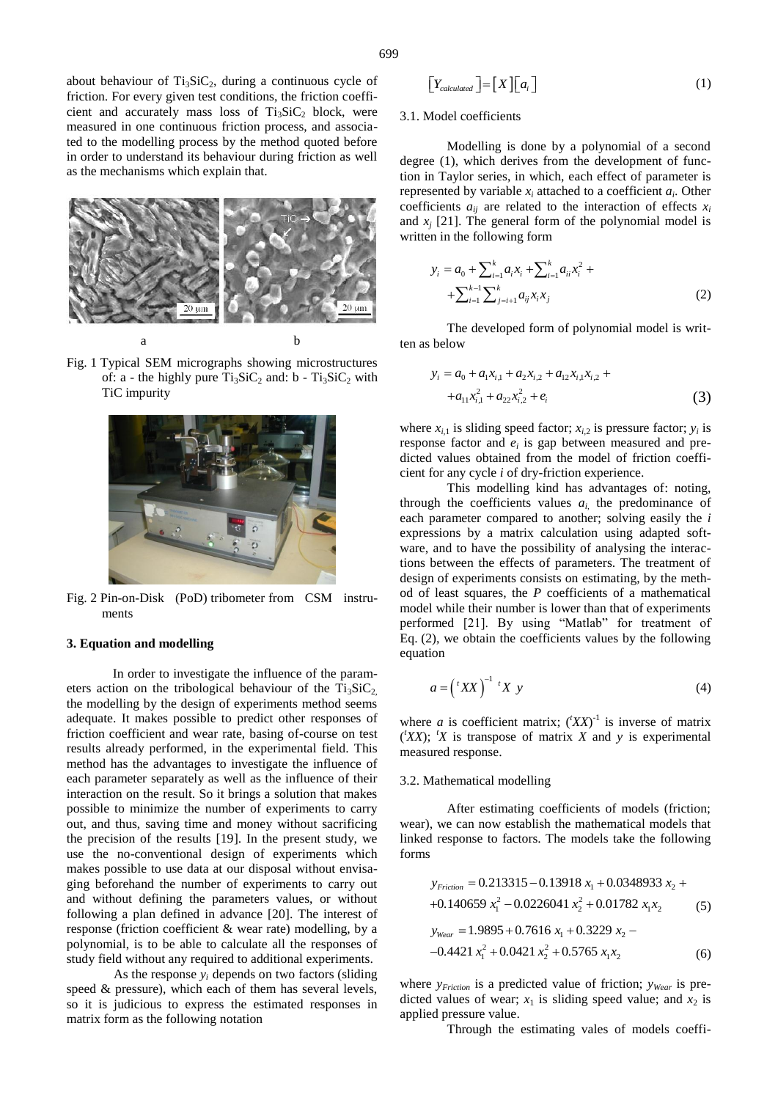about behaviour of  $Ti<sub>3</sub>SiC<sub>2</sub>$ , during a continuous cycle of friction. For every given test conditions, the friction coefficient and accurately mass loss of  $Ti<sub>3</sub>SiC<sub>2</sub>$  block, were measured in one continuous friction process, and associated to the modelling process by the method quoted before in order to understand its behaviour during friction as well as the mechanisms which explain that.



Fig. 1 Typical SEM micrographs showing microstructures of: a - the highly pure  $Ti<sub>3</sub>SiC<sub>2</sub>$  and: b -  $Ti<sub>3</sub>SiC<sub>2</sub>$  with TiC impurity



Fig. 2 Pin-on-Disk (PoD) tribometer from CSM instruments

#### **3. Equation and modelling**

In order to investigate the influence of the parameters action on the tribological behaviour of the  $Ti<sub>3</sub>SiC<sub>2</sub>$ , the modelling by the design of experiments method seems adequate. It makes possible to predict other responses of friction coefficient and wear rate, basing of-course on test results already performed, in the experimental field. This method has the advantages to investigate the influence of each parameter separately as well as the influence of their interaction on the result. So it brings a solution that makes possible to minimize the number of experiments to carry out, and thus, saving time and money without sacrificing the precision of the results [19]. In the present study, we use the no-conventional design of experiments which makes possible to use data at our disposal without envisaging beforehand the number of experiments to carry out and without defining the parameters values, or without following a plan defined in advance [20]. The interest of response (friction coefficient & wear rate) modelling, by a polynomial, is to be able to calculate all the responses of study field without any required to additional experiments. where  $x_1$  is determined by the state of the following a continuous cycle. Continuous continuous continuous continuous continuous continuous continuous continuous continuous continuous continuous continuous continuous co

As the response  $y_i$  depends on two factors (sliding speed & pressure), which each of them has several levels, so it is judicious to express the estimated responses in

$$
\left[Y_{calculated}\right] = \left[X\right]\left[a_i\right] \tag{1}
$$

#### 3.1. Model coefficients

Modelling is done by a polynomial of a second degree (1), which derives from the development of function in Taylor series, in which, each effect of parameter is represented by variable  $x_i$  attached to a coefficient  $a_i$ . Other coefficients  $a_{ij}$  are related to the interaction of effects  $x_i$ and  $x_j$  [21]. The general form of the polynomial model is written in the following form

$$
y_i = a_0 + \sum_{i=1}^k a_i x_i + \sum_{i=1}^k a_{ii} x_i^2 + \sum_{i=1}^k \sum_{j=i+1}^k a_{ij} x_i x_j
$$
\n
$$
(2)
$$

The developed form of polynomial model is written as below

$$
y_i = a_0 + a_1 x_{i,1} + a_2 x_{i,2} + a_{12} x_{i,1} x_{i,2} + a_{11} x_{i,1}^2 + a_{22} x_{i,2}^2 + e_i
$$
\n(3)

where  $x_{i,1}$  is sliding speed factor;  $x_{i,2}$  is pressure factor;  $y_i$  is response factor and  $e_i$  is gap between measured and predicted values obtained from the model of friction coefficient for any cycle *i* of dry-friction experience.

This modelling kind has advantages of: noting, through the coefficients values  $a_i$ , the predominance of each parameter compared to another; solving easily the *i* expressions by a matrix calculation using adapted software, and to have the possibility of analysing the interactions between the effects of parameters. The treatment of design of experiments consists on estimating, by the method of least squares, the *P* coefficients of a mathematical model while their number is lower than that of experiments performed [21]. By using "Matlab" for treatment of Eq. (2), we obtain the coefficients values by the following equation

$$
a = \left(\,^t XX\,\right)^{-1} \,^t X \, y \tag{4}
$$

where *a* is coefficient matrix;  $({}^tXX)^{-1}$  is inverse of matrix  $(XX)$ ; <sup>*tx*</sup> is transpose of matrix *X* and *y* is experimental measured response.

## 3.2. Mathematical modelling

After estimating coefficients of models (friction; wear), we can now establish the mathematical models that linked response to factors. The models take the following forms

$$
y_{Fiction} = 0.213315 - 0.13918 x_1 + 0.0348933 x_2 ++0.140659 x_1^2 - 0.0226041 x_2^2 + 0.01782 x_1x_2
$$
 (5)  

$$
y_{Wear} = 1.9895 + 0.7616 x_1 + 0.3229 x_2 --0.4421 x_1^2 + 0.0421 x_2^2 + 0.5765 x_1x_2
$$
 (6)

where *y*<sub>Friction</sub> is a predicted value of friction; *y*<sub>*Wear*</sub> is predicted values of wear;  $x_1$  is sliding speed value; and  $x_2$  is applied pressure value.

Through the estimating vales of models coeffi-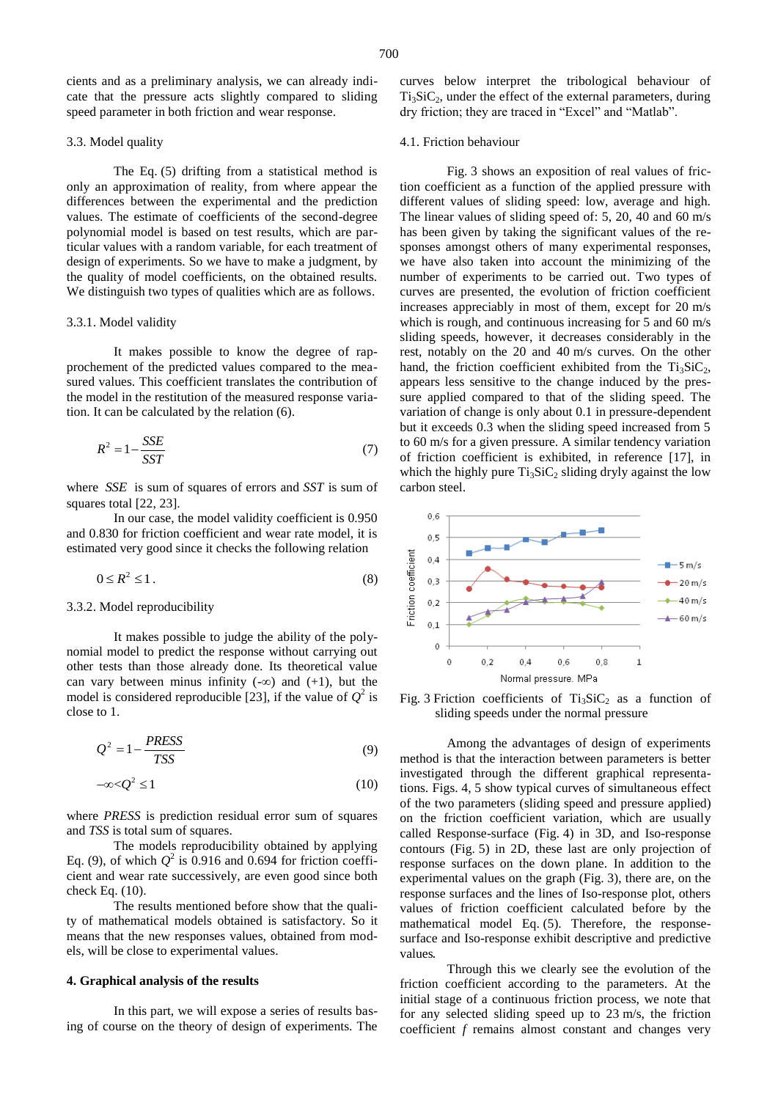cients and as a preliminary analysis, we can already indicate that the pressure acts slightly compared to sliding speed parameter in both friction and wear response.

#### 3.3. Model quality

The Eq. (5) drifting from a statistical method is only an approximation of reality, from where appear the differences between the experimental and the prediction values. The estimate of coefficients of the second-degree polynomial model is based on test results, which are particular values with a random variable, for each treatment of design of experiments. So we have to make a judgment, by the quality of model coefficients, on the obtained results. We distinguish two types of qualities which are as follows.

#### 3.3.1. Model validity

It makes possible to know the degree of rapprochement of the predicted values compared to the measured values. This coefficient translates the contribution of the model in the restitution of the measured response variation. It can be calculated by the relation (6).

$$
R^2 = 1 - \frac{SSE}{SST} \tag{7}
$$

where *SSE* is sum of squares of errors and *SST* is sum of squares total [22, 23].

In our case, the model validity coefficient is 0.950 and 0.830 for friction coefficient and wear rate model, it is estimated very good since it checks the following relation

$$
0 \le R^2 \le 1. \tag{8}
$$

## 3.3.2. Model reproducibility

It makes possible to judge the ability of the polynomial model to predict the response without carrying out other tests than those already done. Its theoretical value can vary between minus infinity  $(-\infty)$  and  $(+1)$ , but the model is considered reproducible [23], if the value of  $Q^2$  is close to 1.

$$
Q^2 = 1 - \frac{PRESS}{TSS}
$$
 (9)

$$
-\infty < \mathcal{Q}^2 \le 1\tag{10}
$$

where *PRESS* is prediction residual error sum of squares and *TSS* is total sum of squares.

The models reproducibility obtained by applying Eq. (9), of which  $Q^2$  is 0.916 and 0.694 for friction coefficient and wear rate successively, are even good since both check Eq. (10).

The results mentioned before show that the quality of mathematical models obtained is satisfactory. So it means that the new responses values, obtained from models, will be close to experimental values.

#### **4. Graphical analysis of the results**

In this part, we will expose a series of results basing of course on the theory of design of experiments. The curves below interpret the tribological behaviour of  $Ti<sub>3</sub>SiC<sub>2</sub>$ , under the effect of the external parameters, during dry friction; they are traced in "Excel" and "Matlab".

## 4.1. Friction behaviour

Fig. 3 shows an exposition of real values of friction coefficient as a function of the applied pressure with different values of sliding speed: low, average and high. The linear values of sliding speed of: 5, 20, 40 and 60 m/s has been given by taking the significant values of the responses amongst others of many experimental responses, we have also taken into account the minimizing of the number of experiments to be carried out. Two types of curves are presented, the evolution of friction coefficient increases appreciably in most of them, except for 20 m/s which is rough, and continuous increasing for 5 and 60 m/s sliding speeds, however, it decreases considerably in the rest, notably on the 20 and 40 m/s curves. On the other hand, the friction coefficient exhibited from the  $Ti<sub>3</sub>SiC<sub>2</sub>$ , appears less sensitive to the change induced by the pressure applied compared to that of the sliding speed. The variation of change is only about 0.1 in pressure-dependent but it exceeds 0.3 when the sliding speed increased from 5 to 60 m/s for a given pressure. A similar tendency variation of friction coefficient is exhibited, in reference [17], in which the highly pure  $Ti<sub>3</sub>SiC<sub>2</sub>$  sliding dryly against the low carbon steel.



Fig. 3 Friction coefficients of  $Ti<sub>3</sub>SiC<sub>2</sub>$  as a function of sliding speeds under the normal pressure

Among the advantages of design of experiments method is that the interaction between parameters is better investigated through the different graphical representations. Figs. 4, 5 show typical curves of simultaneous effect of the two parameters (sliding speed and pressure applied) on the friction coefficient variation, which are usually called Response-surface (Fig. 4) in 3D, and Iso-response contours (Fig. 5) in 2D, these last are only projection of response surfaces on the down plane. In addition to the experimental values on the graph (Fig. 3), there are, on the response surfaces and the lines of Iso-response plot, others values of friction coefficient calculated before by the mathematical model Eq. (5). Therefore, the responsesurface and Iso-response exhibit descriptive and predictive values.

Through this we clearly see the evolution of the friction coefficient according to the parameters. At the initial stage of a continuous friction process, we note that for any selected sliding speed up to 23 m/s, the friction coefficient *f* remains almost constant and changes very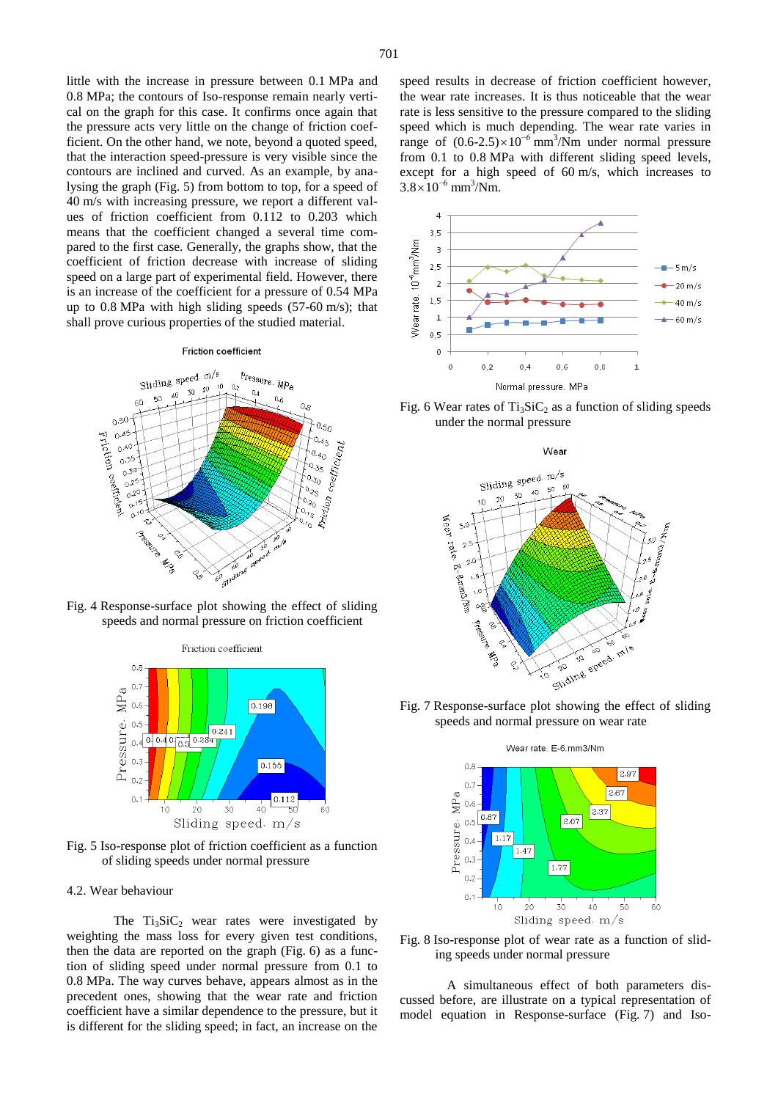little with the increase in pressure between 0.1 MPa and 0.8 MPa; the contours of Iso-response remain nearly vertical on the graph for this case. It confirms once again that the pressure acts very little on the change of friction coefficient. On the other hand, we note, beyond a quoted speed, that the interaction speed-pressure is very visible since the contours are inclined and curved. As an example, by analysing the graph (Fig. 5) from bottom to top, for a speed of 40 m/s with increasing pressure, we report a different values of friction coefficient from 0.112 to 0.203 which means that the coefficient changed a several time compared to the first case. Generally, the graphs show, that the coefficient of friction decrease with increase of sliding speed on a large part of experimental field. However, there is an increase of the coefficient for a pressure of 0.54 MPa up to 0.8 MPa with high sliding speeds (57-60 m/s); that shall prove curious properties of the studied material.

#### Friction coefficient



Fig. 4 Response-surface plot showing the effect of sliding speeds and normal pressure on friction coefficient



Fig. 5 Iso-response plot of friction coefficient as a function of sliding speeds under normal pressure

## 4.2. Wear behaviour

The  $Ti<sub>3</sub>SiC<sub>2</sub>$  wear rates were investigated by weighting the mass loss for every given test conditions, then the data are reported on the graph (Fig. 6) as a function of sliding speed under normal pressure from 0.1 to 0.8 MPa. The way curves behave, appears almost as in the precedent ones, showing that the wear rate and friction coefficient have a similar dependence to the pressure, but it is different for the sliding speed; in fact, an increase on the

speed results in decrease of friction coefficient however, the wear rate increases. It is thus noticeable that the wear rate is less sensitive to the pressure compared to the sliding speed which is much depending. The wear rate varies in range of  $(0.6\n-2.5)\times10^{-6}$  mm<sup>3</sup>/Nm under normal pressure from 0.1 to 0.8 MPa with different sliding speed levels, except for a high speed of 60 m/s, which increases to  $3.8\times10^{-6}$  mm<sup>3</sup>/Nm.



Fig. 6 Wear rates of  $Ti<sub>3</sub>SiC<sub>2</sub>$  as a function of sliding speeds under the normal pressure



Fig. 7 Response-surface plot showing the effect of sliding speeds and normal pressure on wear rate



Fig. 8 Iso-response plot of wear rate as a function of sliding speeds under normal pressure

A simultaneous effect of both parameters discussed before, are illustrate on a typical representation of model equation in Response-surface (Fig. 7) and Iso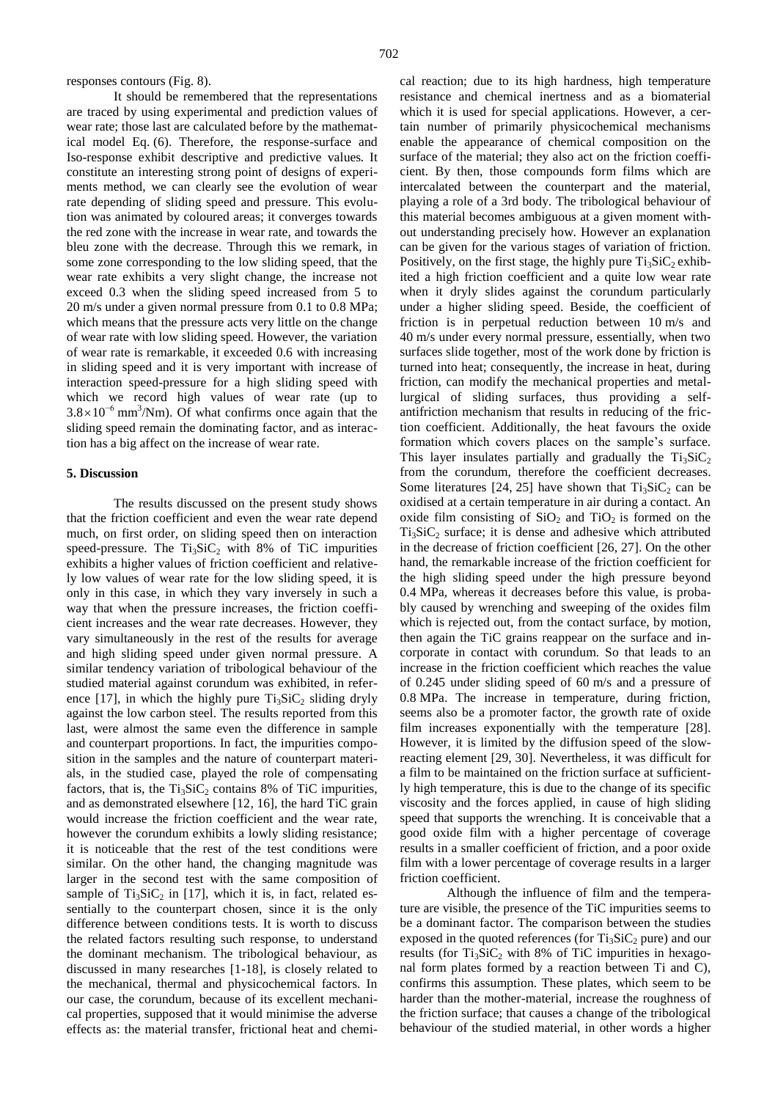responses contours (Fig. 8).

It should be remembered that the representations are traced by using experimental and prediction values of wear rate; those last are calculated before by the mathematical model Eq. (6). Therefore, the response-surface and Iso-response exhibit descriptive and predictive values. It constitute an interesting strong point of designs of experiments method, we can clearly see the evolution of wear rate depending of sliding speed and pressure. This evolution was animated by coloured areas; it converges towards the red zone with the increase in wear rate, and towards the bleu zone with the decrease. Through this we remark, in some zone corresponding to the low sliding speed, that the wear rate exhibits a very slight change, the increase not exceed 0.3 when the sliding speed increased from 5 to 20 m/s under a given normal pressure from 0.1 to 0.8 MPa; which means that the pressure acts very little on the change of wear rate with low sliding speed. However, the variation of wear rate is remarkable, it exceeded 0.6 with increasing in sliding speed and it is very important with increase of interaction speed-pressure for a high sliding speed with which we record high values of wear rate (up to  $3.8\times10^{-6}$  mm<sup>3</sup>/Nm). Of what confirms once again that the sliding speed remain the dominating factor, and as interaction has a big affect on the increase of wear rate.

#### **5. Discussion**

The results discussed on the present study shows that the friction coefficient and even the wear rate depend much, on first order, on sliding speed then on interaction speed-pressure. The  $Ti<sub>3</sub>SiC<sub>2</sub>$  with 8% of TiC impurities exhibits a higher values of friction coefficient and relatively low values of wear rate for the low sliding speed, it is only in this case, in which they vary inversely in such a way that when the pressure increases, the friction coefficient increases and the wear rate decreases. However, they vary simultaneously in the rest of the results for average and high sliding speed under given normal pressure. A similar tendency variation of tribological behaviour of the studied material against corundum was exhibited, in reference [17], in which the highly pure  $Ti<sub>3</sub>SiC<sub>2</sub>$  sliding dryly against the low carbon steel. The results reported from this last, were almost the same even the difference in sample and counterpart proportions. In fact, the impurities composition in the samples and the nature of counterpart materials, in the studied case, played the role of compensating factors, that is, the  $Ti<sub>3</sub>SiC<sub>2</sub>$  contains 8% of TiC impurities, and as demonstrated elsewhere [12, 16], the hard TiC grain would increase the friction coefficient and the wear rate, however the corundum exhibits a lowly sliding resistance; it is noticeable that the rest of the test conditions were similar. On the other hand, the changing magnitude was larger in the second test with the same composition of sample of  $Ti<sub>3</sub>SiC<sub>2</sub>$  in [17], which it is, in fact, related essentially to the counterpart chosen, since it is the only difference between conditions tests. It is worth to discuss the related factors resulting such response, to understand the dominant mechanism. The tribological behaviour, as discussed in many researches [1-18], is closely related to the mechanical, thermal and physicochemical factors. In our case, the corundum, because of its excellent mechanical properties, supposed that it would minimise the adverse effects as: the material transfer, frictional heat and chemical reaction; due to its high hardness, high temperature resistance and chemical inertness and as a biomaterial which it is used for special applications. However, a certain number of primarily physicochemical mechanisms enable the appearance of chemical composition on the surface of the material; they also act on the friction coefficient. By then, those compounds form films which are intercalated between the counterpart and the material, playing a role of a 3rd body. The tribological behaviour of this material becomes ambiguous at a given moment without understanding precisely how. However an explanation can be given for the various stages of variation of friction. Positively, on the first stage, the highly pure  $Ti<sub>3</sub>SiC<sub>2</sub>$  exhibited a high friction coefficient and a quite low wear rate when it dryly slides against the corundum particularly under a higher sliding speed. Beside, the coefficient of friction is in perpetual reduction between 10 m/s and 40 m/s under every normal pressure, essentially, when two surfaces slide together, most of the work done by friction is turned into heat; consequently, the increase in heat, during friction, can modify the mechanical properties and metallurgical of sliding surfaces, thus providing a selfantifriction mechanism that results in reducing of the friction coefficient. Additionally, the heat favours the oxide formation which covers places on the sample's surface. This layer insulates partially and gradually the  $Ti<sub>3</sub>SiC<sub>2</sub>$ from the corundum, therefore the coefficient decreases. Some literatures [24, 25] have shown that  $Ti<sub>3</sub>SiC<sub>2</sub>$  can be oxidised at a certain temperature in air during a contact. An oxide film consisting of  $SiO<sub>2</sub>$  and  $TiO<sub>2</sub>$  is formed on the  $Ti<sub>3</sub>SiC<sub>2</sub> surface; it is dense and adhesive which attributed$ in the decrease of friction coefficient [26, 27]. On the other hand, the remarkable increase of the friction coefficient for the high sliding speed under the high pressure beyond 0.4 MPa, whereas it decreases before this value, is probably caused by wrenching and sweeping of the oxides film which is rejected out, from the contact surface, by motion, then again the TiC grains reappear on the surface and incorporate in contact with corundum. So that leads to an increase in the friction coefficient which reaches the value of 0.245 under sliding speed of 60 m/s and a pressure of 0.8 MPa. The increase in temperature, during friction, seems also be a promoter factor, the growth rate of oxide film increases exponentially with the temperature [28]. However, it is limited by the diffusion speed of the slowreacting element [29, 30]. Nevertheless, it was difficult for a film to be maintained on the friction surface at sufficiently high temperature, this is due to the change of its specific viscosity and the forces applied, in cause of high sliding speed that supports the wrenching. It is conceivable that a good oxide film with a higher percentage of coverage results in a smaller coefficient of friction, and a poor oxide film with a lower percentage of coverage results in a larger friction coefficient.

Although the influence of film and the temperature are visible, the presence of the TiC impurities seems to be a dominant factor. The comparison between the studies exposed in the quoted references (for  $Ti<sub>3</sub>SiC<sub>2</sub>$  pure) and our results (for  $Ti<sub>3</sub>SiC<sub>2</sub>$  with 8% of TiC impurities in hexagonal form plates formed by a reaction between Ti and C), confirms this assumption. These plates, which seem to be harder than the mother-material, increase the roughness of the friction surface; that causes a change of the tribological behaviour of the studied material, in other words a higher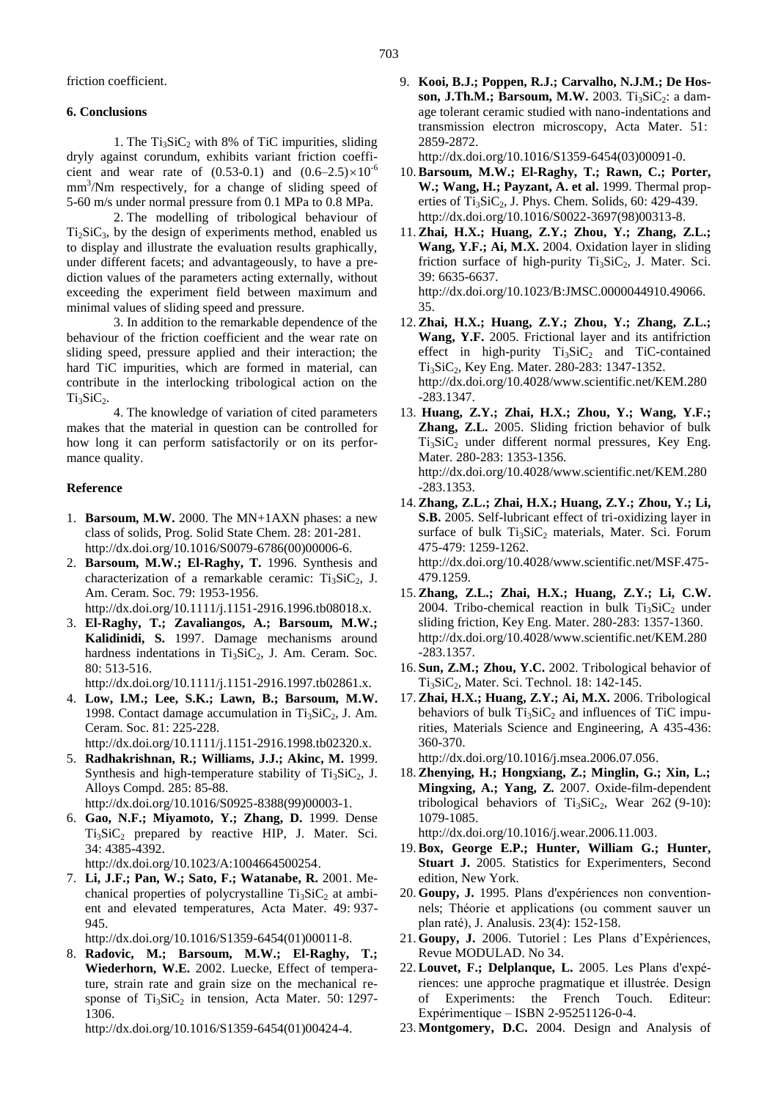friction coefficient.

## **6. Conclusions**

1. The  $Ti<sub>3</sub>SiC<sub>2</sub>$  with 8% of TiC impurities, sliding dryly against corundum, exhibits variant friction coefficient and wear rate of  $(0.53-0.1)$  and  $(0.6-2.5)\times10^{-6}$ mm<sup>3</sup>/Nm respectively, for a change of sliding speed of 5-60 m/s under normal pressure from 0.1 MPa to 0.8 MPa.

2. The modelling of tribological behaviour of  $Ti<sub>2</sub>SiC<sub>3</sub>$ , by the design of experiments method, enabled us to display and illustrate the evaluation results graphically, under different facets; and advantageously, to have a prediction values of the parameters acting externally, without exceeding the experiment field between maximum and minimal values of sliding speed and pressure.

3. In addition to the remarkable dependence of the behaviour of the friction coefficient and the wear rate on sliding speed, pressure applied and their interaction; the hard TiC impurities, which are formed in material, can contribute in the interlocking tribological action on the  $Ti<sub>3</sub>SiC<sub>2</sub>$ .

4. The knowledge of variation of cited parameters makes that the material in question can be controlled for how long it can perform satisfactorily or on its performance quality.

# **Reference**

- 1. **Barsoum, M.W.** 2000. The MN+1AXN phases: a new class of solids, Prog. Solid State Chem. 28: 201-281. [http://dx.doi.org/10.1016/S0079-6786\(00\)00006-6.](http://dx.doi.org/10.1016/S0079-6786(00)00006-6)
- 2. **Barsoum, M.W.; El-Raghy, T.** 1996. Synthesis and characterization of a remarkable ceramic:  $Ti<sub>3</sub>SiC<sub>2</sub>$ , J. Am. Ceram. Soc. 79: 1953-1956. [http://dx.doi.org/10.1111/j.1151-2916.1996.tb08018.x.](http://dx.doi.org/10.1111/j.1151-2916.1996.tb08018.x)
- 3. **El-Raghy, T.; Zavaliangos, A.; Barsoum, M.W.; Kalidinidi, S.** 1997. Damage mechanisms around hardness indentations in  $Ti<sub>3</sub>SiC<sub>2</sub>$ , J. Am. Ceram. Soc. 80: 513-516.

[http://dx.doi.org/10.1111/j.1151-2916.1997.tb02861.x.](http://dx.doi.org/10.1111/j.1151-2916.1997.tb02861.x)

4. **Low, I.M.; Lee, S.K.; Lawn, B.; Barsoum, M.W.** 1998. Contact damage accumulation in  $Ti<sub>3</sub>SiC<sub>2</sub>$ , J. Am. Ceram. Soc. 81: 225-228.

[http://dx.doi.org/10.1111/j.1151-2916.1998.tb02320.x.](http://dx.doi.org/10.1111/j.1151-2916.1998.tb02320.x)

- 5. **Radhakrishnan, R.; Williams, J.J.; Akinc, M.** 1999. Synthesis and high-temperature stability of  $Ti<sub>3</sub>SiC<sub>2</sub>$ , J. Alloys Compd. 285: 85-88. [http://dx.doi.org/10.1016/S0925-8388\(99\)00003-1.](http://dx.doi.org/10.1016/S0925-8388(99)00003-1)
- 6. **Gao, N.F.; Miyamoto, Y.; Zhang, D.** 1999. Dense Ti<sub>3</sub>SiC<sub>2</sub> prepared by reactive HIP, J. Mater. Sci. 34: 4385-4392.

[http://dx.doi.org/10.1023/A:1004664500254.](http://dx.doi.org/10.1023/A:1004664500254)

7. **Li, J.F.; Pan, W.; Sato, F.; Watanabe, R.** 2001. Mechanical properties of polycrystalline  $Ti<sub>3</sub>SiC<sub>2</sub>$  at ambient and elevated temperatures, Acta Mater. 49: 937- 945.

[http://dx.doi.org/10.1016/S1359-6454\(01\)00011-8.](http://dx.doi.org/10.1016/S1359-6454(01)00011-8)

8. **Radovic, M.; Barsoum, M.W.; El-Raghy, T.; Wiederhorn, W.E.** 2002. Luecke, Effect of temperature, strain rate and grain size on the mechanical response of  $Ti<sub>3</sub>SiC<sub>2</sub>$  in tension, Acta Mater. 50: 1297-1306.

[http://dx.doi.org/10.1016/S1359-6454\(01\)00424-4.](http://dx.doi.org/10.1016/S1359-6454(01)00424-4)

9. **Kooi, B.J.; Poppen, R.J.; Carvalho, N.J.M.; De Hosson, J.Th.M.; Barsoum, M.W.** 2003. Ti<sub>3</sub>SiC<sub>2</sub>: a damage tolerant ceramic studied with nano-indentations and transmission electron microscopy, Acta Mater. 51: 2859-2872.

[http://dx.doi.org/10.1016/S1359-6454\(03\)00091-0.](http://dx.doi.org/10.1016/S1359-6454(03)00091-0)

- 10.**Barsoum, M.W.; El-Raghy, T.; Rawn, C.; Porter, W.; Wang, H.; Payzant, A. et al.** 1999. Thermal properties of Ti<sub>3</sub>SiC<sub>2</sub>, J. Phys. Chem. Solids,  $60: 429-439$ . [http://dx.doi.org/10.1016/S0022-3697\(98\)00313-8.](http://dx.doi.org/10.1016/S0022-3697(98)00313-8)
- 11.**Zhai, H.X.; Huang, Z.Y.; Zhou, Y.; Zhang, Z.L.; Wang, Y.F.; Ai, M.X.** 2004. Oxidation layer in sliding friction surface of high-purity  $Ti<sub>3</sub>SiC<sub>2</sub>$ , J. Mater. Sci. 39: 6635-6637. [http://dx.doi.org/10.1023/B:JMSC.0000044910.49066.](http://dx.doi.org/10.1023/B:JMSC.0000044910.49066.35) [35.](http://dx.doi.org/10.1023/B:JMSC.0000044910.49066.35)
- 12.**Zhai, H.X.; Huang, Z.Y.; Zhou, Y.; Zhang, Z.L.; Wang, Y.F.** 2005. Frictional layer and its antifriction effect in high-purity  $Ti<sub>3</sub>SiC<sub>2</sub>$  and TiC-contained Ti<sub>3</sub>SiC<sub>2</sub>, Key Eng. Mater. 280-283: 1347-1352. [http://dx.doi.org/10.4028/www.scientific.net/KEM.280](http://dx.doi.org/10.4028/www.scientific.net/KEM.280-283.1347) [-283.1347.](http://dx.doi.org/10.4028/www.scientific.net/KEM.280-283.1347)
- 13. **Huang, Z.Y.; Zhai, H.X.; Zhou, Y.; Wang, Y.F.; Zhang, Z.L.** 2005. Sliding friction behavior of bulk  $Ti<sub>3</sub>SiC<sub>2</sub>$  under different normal pressures, Key Eng. Mater. 280-283: 1353-1356. [http://dx.doi.org/10.4028/www.scientific.net/KEM.280](http://dx.doi.org/10.4028/www.scientific.net/KEM.280-283.1353) [-283.1353.](http://dx.doi.org/10.4028/www.scientific.net/KEM.280-283.1353)
- 14.**Zhang, Z.L.; Zhai, H.X.; Huang, Z.Y.; Zhou, Y.; Li, S.B.** 2005. Self-lubricant effect of tri-oxidizing layer in surface of bulk Ti<sub>3</sub>SiC<sub>2</sub> materials, Mater. Sci. Forum 475-479: 1259-1262. [http://dx.doi.org/10.4028/www.scientific.net/MSF.475-](http://dx.doi.org/10.4028/www.scientific.net/MSF.475-479.1259) [479.1259.](http://dx.doi.org/10.4028/www.scientific.net/MSF.475-479.1259)
- 15.**Zhang, Z.L.; Zhai, H.X.; Huang, Z.Y.; Li, C.W.** 2004. Tribo-chemical reaction in bulk  $Ti<sub>3</sub>SiC<sub>2</sub>$  under sliding friction, Key Eng. Mater. 280-283: 1357-1360. [http://dx.doi.org/10.4028/www.scientific.net/KEM.280](http://dx.doi.org/10.4028/www.scientific.net/KEM.280-283.1357) [-283.1357.](http://dx.doi.org/10.4028/www.scientific.net/KEM.280-283.1357)
- 16. **Sun, Z.M.; Zhou, Y.C.** 2002. Tribological behavior of Ti<sub>3</sub>SiC<sub>2</sub>, Mater. Sci. Technol. 18: 142-145.
- 17.**Zhai, H.X.; Huang, Z.Y.; Ai, M.X.** 2006. Tribological behaviors of bulk  $Ti<sub>3</sub>SiC<sub>2</sub>$  and influences of TiC impurities, Materials Science and Engineering, A 435-436: 360-370.

[http://dx.doi.org/10.1016/j.msea.2006.07.056.](http://dx.doi.org/10.1016/j.msea.2006.07.056)

18.**Zhenying, H.; Hongxiang, Z.; Minglin, G.; Xin, L.; Mingxing, A.; Yang, Z.** 2007. Oxide-film-dependent tribological behaviors of  $Ti<sub>3</sub>SiC<sub>2</sub>$ , Wear 262 (9-10): 1079-1085.

[http://dx.doi.org/10.1016/j.wear.2006.11.003.](http://dx.doi.org/10.1016/j.wear.2006.11.003)

- 19.**Box, George E.P.; Hunter, William G.; Hunter, Stuart J.** 2005. Statistics for Experimenters, Second edition, New York.
- 20. **Goupy, J.** 1995. Plans d'expériences non conventionnels; Théorie et applications (ou comment sauver un plan raté), J. Analusis. 23(4): 152-158.
- 21. **Goupy, J.** 2006. Tutoriel : Les Plans d'Expériences, Revue MODULAD. No 34.
- 22.**Louvet, F.; Delplanque, L.** 2005. Les Plans d'expériences: une approche pragmatique et illustrée. Design of Experiments: the French Touch. Editeur: Expérimentique – ISBN 2-95251126-0-4.
- 23. **Montgomery, D.C.** 2004. Design and Analysis of